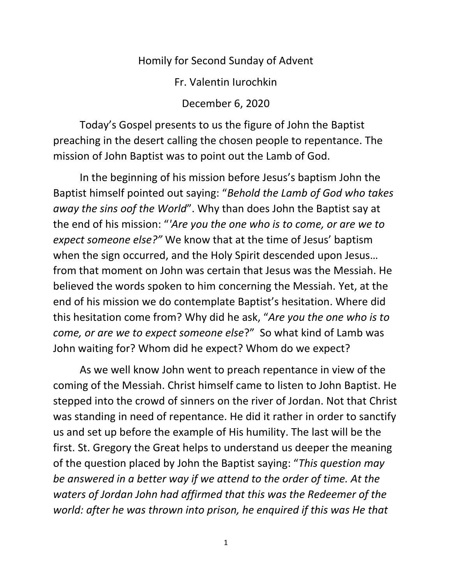## Homily for Second Sunday of Advent

Fr. Valentin Iurochkin

December 6, 2020

Today's Gospel presents to us the figure of John the Baptist preaching in the desert calling the chosen people to repentance. The mission of John Baptist was to point out the Lamb of God.

In the beginning of his mission before Jesus's baptism John the Baptist himself pointed out saying: "*Behold the Lamb of God who takes away the sins oof the World*". Why than does John the Baptist say at the end of his mission: "*'Are you the one who is to come, or are we to expect someone else?"* We know that at the time of Jesus' baptism when the sign occurred, and the Holy Spirit descended upon Jesus… from that moment on John was certain that Jesus was the Messiah. He believed the words spoken to him concerning the Messiah. Yet, at the end of his mission we do contemplate Baptist's hesitation. Where did this hesitation come from? Why did he ask, "*Are you the one who is to come, or are we to expect someone else*?" So what kind of Lamb was John waiting for? Whom did he expect? Whom do we expect?

As we well know John went to preach repentance in view of the coming of the Messiah. Christ himself came to listen to John Baptist. He stepped into the crowd of sinners on the river of Jordan. Not that Christ was standing in need of repentance. He did it rather in order to sanctify us and set up before the example of His humility. The last will be the first. St. Gregory the Great helps to understand us deeper the meaning of the question placed by John the Baptist saying: "*This question may be answered in a better way if we attend to the order of time. At the waters of Jordan John had affirmed that this was the Redeemer of the world: after he was thrown into prison, he enquired if this was He that*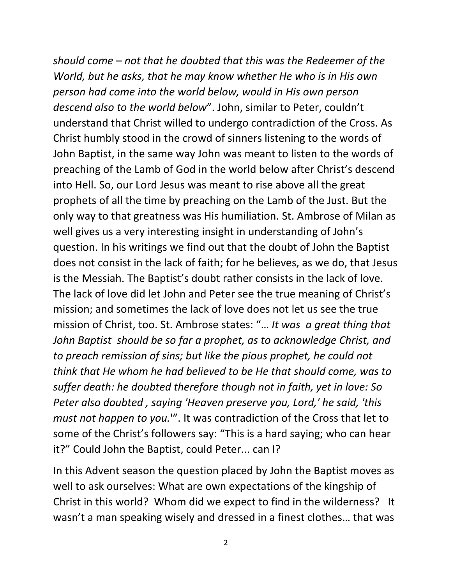*should come – not that he doubted that this was the Redeemer of the World, but he asks, that he may know whether He who is in His own person had come into the world below, would in His own person descend also to the world below*". John, similar to Peter, couldn't understand that Christ willed to undergo contradiction of the Cross. As Christ humbly stood in the crowd of sinners listening to the words of John Baptist, in the same way John was meant to listen to the words of preaching of the Lamb of God in the world below after Christ's descend into Hell. So, our Lord Jesus was meant to rise above all the great prophets of all the time by preaching on the Lamb of the Just. But the only way to that greatness was His humiliation. St. Ambrose of Milan as well gives us a very interesting insight in understanding of John's question. In his writings we find out that the doubt of John the Baptist does not consist in the lack of faith; for he believes, as we do, that Jesus is the Messiah. The Baptist's doubt rather consists in the lack of love. The lack of love did let John and Peter see the true meaning of Christ's mission; and sometimes the lack of love does not let us see the true mission of Christ, too. St. Ambrose states: "… *It was a great thing that John Baptist should be so far a prophet, as to acknowledge Christ, and to preach remission of sins; but like the pious prophet, he could not think that He whom he had believed to be He that should come, was to suffer death: he doubted therefore though not in faith, yet in love: So Peter also doubted , saying 'Heaven preserve you, Lord,' he said, 'this must not happen to you.*'". It was contradiction of the Cross that let to some of the Christ's followers say: "This is a hard saying; who can hear it?" Could John the Baptist, could Peter... can I?

In this Advent season the question placed by John the Baptist moves as well to ask ourselves: What are own expectations of the kingship of Christ in this world? Whom did we expect to find in the wilderness? It wasn't a man speaking wisely and dressed in a finest clothes… that was

2